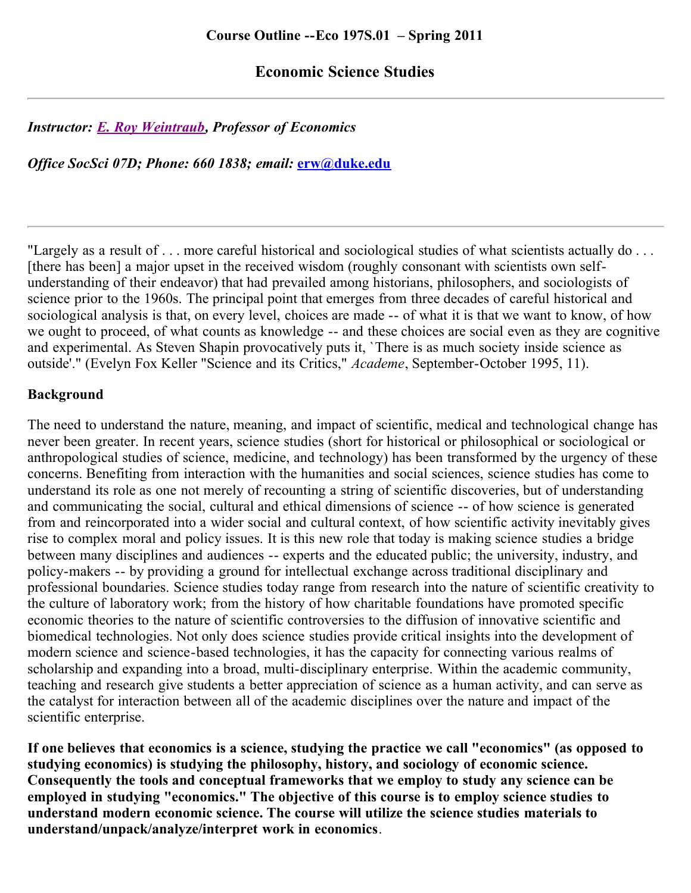## **Economic Science Studies**

## *Instructor: [E. Roy Weintraub](http://www.econ.duke.edu/~erw/erw.homepage.html), Professor of Economics*

*Office SocSci 07D; Phone: 660 1838; email:* **[erw@duke.edu](http://econ.duke.edu/~erw/197/erw@duke.edu)**

"Largely as a result of . . . more careful historical and sociological studies of what scientists actually do . . . [there has been] a major upset in the received wisdom (roughly consonant with scientists own selfunderstanding of their endeavor) that had prevailed among historians, philosophers, and sociologists of science prior to the 1960s. The principal point that emerges from three decades of careful historical and sociological analysis is that, on every level, choices are made -- of what it is that we want to know, of how we ought to proceed, of what counts as knowledge -- and these choices are social even as they are cognitive and experimental. As Steven Shapin provocatively puts it, `There is as much society inside science as outside'." (Evelyn Fox Keller "Science and its Critics," *Academe*, September-October 1995, 11).

## **Background**

The need to understand the nature, meaning, and impact of scientific, medical and technological change has never been greater. In recent years, science studies (short for historical or philosophical or sociological or anthropological studies of science, medicine, and technology) has been transformed by the urgency of these concerns. Benefiting from interaction with the humanities and social sciences, science studies has come to understand its role as one not merely of recounting a string of scientific discoveries, but of understanding and communicating the social, cultural and ethical dimensions of science -- of how science is generated from and reincorporated into a wider social and cultural context, of how scientific activity inevitably gives rise to complex moral and policy issues. It is this new role that today is making science studies a bridge between many disciplines and audiences -- experts and the educated public; the university, industry, and policy-makers -- by providing a ground for intellectual exchange across traditional disciplinary and professional boundaries. Science studies today range from research into the nature of scientific creativity to the culture of laboratory work; from the history of how charitable foundations have promoted specific economic theories to the nature of scientific controversies to the diffusion of innovative scientific and biomedical technologies. Not only does science studies provide critical insights into the development of modern science and science-based technologies, it has the capacity for connecting various realms of scholarship and expanding into a broad, multi-disciplinary enterprise. Within the academic community, teaching and research give students a better appreciation of science as a human activity, and can serve as the catalyst for interaction between all of the academic disciplines over the nature and impact of the scientific enterprise.

**If one believes that economics is a science, studying the practice we call "economics" (as opposed to studying economics) is studying the philosophy, history, and sociology of economic science. Consequently the tools and conceptual frameworks that we employ to study any science can be employed in studying "economics." The objective of this course is to employ science studies to understand modern economic science. The course will utilize the science studies materials to understand/unpack/analyze/interpret work in economics**.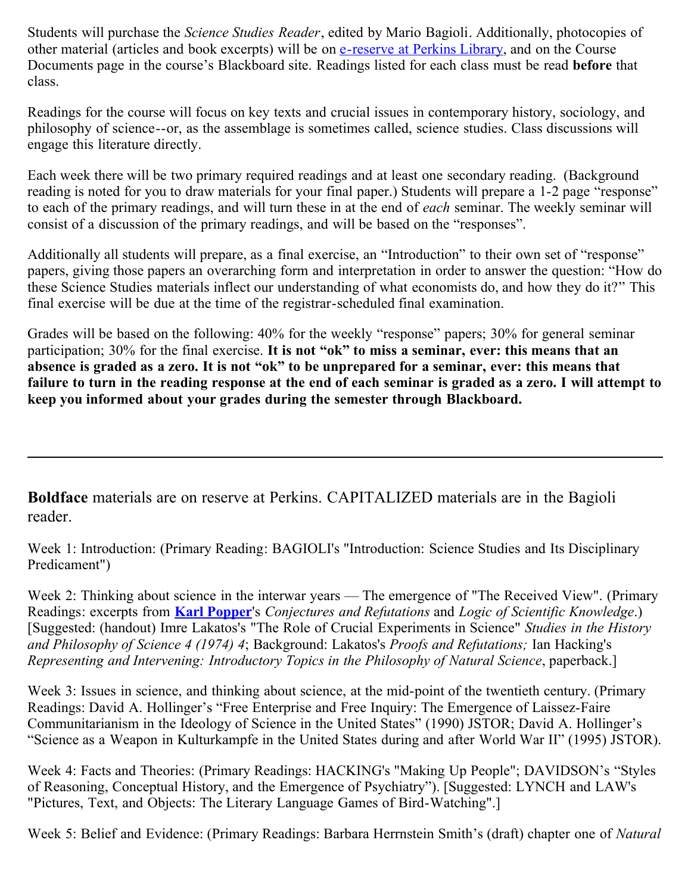Students will purchase the *Science Studies Reader*, edited by Mario Bagioli. Additionally, photocopies of other material (articles and book excerpts) will be on [e-reserve at Perkins Library](http://www.lib.duke.edu/access/reserves), and on the Course Documents page in the course's Blackboard site. Readings listed for each class must be read **before** that class.

Readings for the course will focus on key texts and crucial issues in contemporary history, sociology, and philosophy of science--or, as the assemblage is sometimes called, science studies. Class discussions will engage this literature directly.

Each week there will be two primary required readings and at least one secondary reading. (Background reading is noted for you to draw materials for your final paper.) Students will prepare a 1-2 page "response" to each of the primary readings, and will turn these in at the end of *each* seminar. The weekly seminar will consist of a discussion of the primary readings, and will be based on the "responses".

Additionally all students will prepare, as a final exercise, an "Introduction" to their own set of "response" papers, giving those papers an overarching form and interpretation in order to answer the question: "How do these Science Studies materials inflect our understanding of what economists do, and how they do it?" This final exercise will be due at the time of the registrar-scheduled final examination.

Grades will be based on the following: 40% for the weekly "response" papers; 30% for general seminar participation; 30% for the final exercise. **It is not "ok" to miss a seminar, ever: this means that an absence is graded as a zero. It is not "ok" to be unprepared for a seminar, ever: this means that failure to turn in the reading response at the end of each seminar is graded as a zero. I will attempt to keep you informed about your grades during the semester through Blackboard.**

**Boldface** materials are on reserve at Perkins. CAPITALIZED materials are in the Bagioli reader.

Week 1: Introduction: (Primary Reading: BAGIOLI's "Introduction: Science Studies and Its Disciplinary Predicament")

Week 2: Thinking about science in the interwar years — The emergence of "The Received View". (Primary Readings: excerpts from **[Karl Popper](http://www.eeng.dcu.ie/~tkpw)**'s *Conjectures and Refutations* and *Logic of Scientific Knowledge*.) [Suggested: (handout) Imre Lakatos's "The Role of Crucial Experiments in Science" *Studies in the History and Philosophy of Science 4 (1974) 4*; Background: Lakatos's *Proofs and Refutations;* Ian Hacking's *Representing and Intervening: Introductory Topics in the Philosophy of Natural Science*, paperback.]

Week 3: Issues in science, and thinking about science, at the mid-point of the twentieth century. (Primary Readings: David A. Hollinger's "Free Enterprise and Free Inquiry: The Emergence of Laissez-Faire Communitarianism in the Ideology of Science in the United States" (1990) JSTOR; David A. Hollinger's "Science as a Weapon in Kulturkampfe in the United States during and after World War II" (1995) JSTOR).

Week 4: Facts and Theories: (Primary Readings: HACKING's "Making Up People"; DAVIDSON's "Styles of Reasoning, Conceptual History, and the Emergence of Psychiatry"). [Suggested: LYNCH and LAW's "Pictures, Text, and Objects: The Literary Language Games of Bird-Watching".]

Week 5: Belief and Evidence: (Primary Readings: Barbara Herrnstein Smith's (draft) chapter one of *Natural*